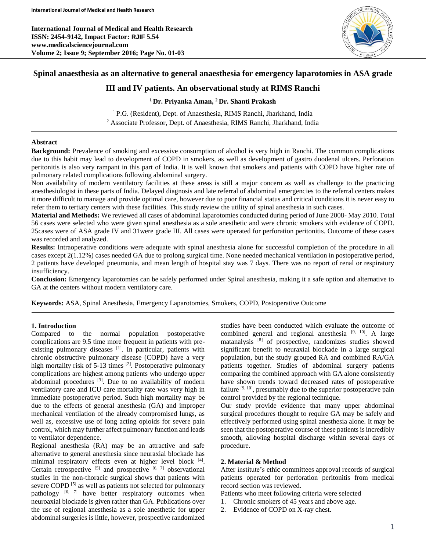**International Journal of Medical and Health Research ISSN: 2454-9142, Impact Factor: RJIF 5.54 www.medicalsciencejournal.com Volume 2; Issue 9; September 2016; Page No. 01-03**



# **Spinal anaesthesia as an alternative to general anaesthesia for emergency laparotomies in ASA grade**

# **III and IV patients. An observational study at RIMS Ranchi**

# **<sup>1</sup> Dr. Priyanka Aman, <sup>2</sup> Dr. Shanti Prakash**

<sup>1</sup> P.G. (Resident), Dept. of Anaesthesia, RIMS Ranchi, Jharkhand, India <sup>2</sup> Associate Professor, Dept. of Anaesthesia, RIMS Ranchi, Jharkhand, India

## **Abstract**

**Background:** Prevalence of smoking and excessive consumption of alcohol is very high in Ranchi. The common complications due to this habit may lead to development of COPD in smokers, as well as development of gastro duodenal ulcers. Perforation peritonitis is also very rampant in this part of India. It is well known that smokers and patients with COPD have higher rate of pulmonary related complications following abdominal surgery.

Non availability of modern ventilatory facilities at these areas is still a major concern as well as challenge to the practicing anesthesiologist in these parts of India. Delayed diagnosis and late referral of abdominal emergencies to the referral centers makes it more difficult to manage and provide optimal care, however due to poor financial status and critical conditions it is never easy to refer them to tertiary centers with these facilities. This study review the utility of spinal anesthesia in such cases.

**Material and Methods:** We reviewed all cases of abdominal laparotomies conducted during period of June 2008- May 2010. Total 56 cases were selected who were given spinal anesthesia as a sole anesthetic and were chronic smokers with evidence of COPD. 25cases were of ASA grade IV and 31were grade III. All cases were operated for perforation peritonitis. Outcome of these cases was recorded and analyzed.

**Results:** Intraoperative conditions were adequate with spinal anesthesia alone for successful completion of the procedure in all cases except 2(1.12%) cases needed GA due to prolong surgical time. None needed mechanical ventilation in postoperative period, 2 patients have developed pneumonia, and mean length of hospital stay was 7 days. There was no report of renal or respiratory insufficiency.

**Conclusion:** Emergency laparotomies can be safely performed under Spinal anesthesia, making it a safe option and alternative to GA at the centers without modern ventilatory care.

**Keywords:** ASA, Spinal Anesthesia, Emergency Laparotomies, Smokers, COPD, Postoperative Outcome

# **1. Introduction**

Compared to the normal population postoperative complications are 9.5 time more frequent in patients with preexisting pulmonary diseases [1]. In particular, patients with chronic obstructive pulmonary disease (COPD) have a very high mortality risk of 5-13 times <sup>[2]</sup>. Postoperative pulmonary complications are highest among patients who undergo upper abdominal procedures <sup>[3]</sup>. Due to no availability of modern ventilatory care and ICU care mortality rate was very high in immediate postoperative period. Such high mortality may be due to the effects of general anesthesia (GA) and improper mechanical ventilation of the already compromised lungs, as well as, excessive use of long acting opioids for severe pain control, which may further affect pulmonary function and leads to ventilator dependence.

Regional anesthesia (RA) may be an attractive and safe alternative to general anesthesia since neuraxial blockade has minimal respiratory effects even at higher level block [4]. Certain retrospective  $[5]$  and prospective  $[6, 7]$  observational studies in the non-thoracic surgical shows that patients with severe COPD<sup>[5]</sup> as well as patients not selected for pulmonary pathology  $[6, 7]$  have better respiratory outcomes when neuroaxial blockade is given rather than GA. Publications over the use of regional anesthesia as a sole anesthetic for upper abdominal surgeries is little, however, prospective randomized

studies have been conducted which evaluate the outcome of combined general and regional anesthesia  $[9, 10]$ . A large matanalysis [8] of prospective, randomizes studies showed significant benefit to neuraxial blockade in a large surgical population, but the study grouped RA and combined RA/GA patients together. Studies of abdominal surgery patients comparing the combined approach with GA alone consistently have shown trends toward decreased rates of postoperative failure <sup>[9, 10]</sup>, presumably due to the superior postoperative pain control provided by the regional technique.

Our study provide evidence that many upper abdominal surgical procedures thought to require GA may be safely and effectively performed using spinal anesthesia alone. It may be seen that the postoperative course of these patients is incredibly smooth, allowing hospital discharge within several days of procedure.

### **2. Material & Method**

After institute's ethic committees approval records of surgical patients operated for perforation peritonitis from medical record section was reviewed.

Patients who meet following criteria were selected

- 1. Chronic smokers of 45 years and above age.
- 2. Evidence of COPD on X-ray chest.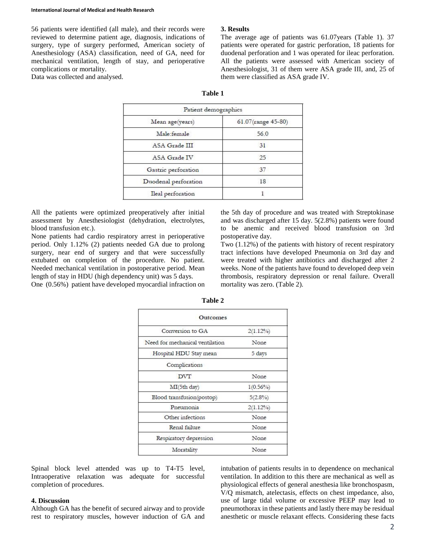#### **International Journal of Medical and Health Research**

56 patients were identified (all male), and their records were reviewed to determine patient age, diagnosis, indications of surgery, type of surgery performed, American society of Anesthesiology (ASA) classification, need of GA, need for mechanical ventilation, length of stay, and perioperative complications or mortality.

### Data was collected and analysed.

### **3. Results**

The average age of patients was 61.07years (Table 1). 37 patients were operated for gastric perforation, 18 patients for duodenal perforation and 1 was operated for ileac perforation. All the patients were assessed with American society of Anesthesiologist, 31 of them were ASA grade III, and, 25 of them were classified as ASA grade IV.

| וחו<br>н |  |
|----------|--|
|----------|--|

| Patient demographics |                    |
|----------------------|--------------------|
| Mean age(years)      | 61.07(range 45-80) |
| Male female          | 56.0               |
| ASA Grade III        | 31                 |
| ASA Grade IV         | 25                 |
| Gastric perforation  | 37                 |
| Duodenal perforation | 18                 |
| Ileal perforation    |                    |

All the patients were optimized preoperatively after initial assessment by Anesthesiologist (dehydration, electrolytes, blood transfusion etc.).

None patients had cardio respiratory arrest in perioperative period. Only 1.12% (2) patients needed GA due to prolong surgery, near end of surgery and that were successfully extubated on completion of the procedure. No patient. Needed mechanical ventilation in postoperative period. Mean length of stay in HDU (high dependency unit) was 5 days.

One (0.56%) patient have developed myocardial infraction on

the 5th day of procedure and was treated with Streptokinase and was discharged after 15 day. 5(2.8%) patients were found to be anemic and received blood transfusion on 3rd postoperative day.

Two (1.12%) of the patients with history of recent respiratory tract infections have developed Pneumonia on 3rd day and were treated with higher antibiotics and discharged after 2 weeks. None of the patients have found to developed deep vein thrombosis, respiratory depression or renal failure. Overall mortality was zero. (Table 2).

| <b>Outcomes</b>                 |             |
|---------------------------------|-------------|
| Conversion to GA                | $2(1.12\%)$ |
| Need for mechanical ventilation | None        |
| Hospital HDU Stay mean          | 5 days      |
| Complications                   |             |
| <b>DVT</b>                      | None        |
| MI(5th day)                     | $1(0.56\%)$ |
| Blood transfusion(postop)       | $5(2.8\%)$  |
| Pneumonia                       | $2(1.12\%)$ |
| Other infections                | None        |
| Renal failure                   | None        |
| Respiratory depression          | None        |
| Moratality                      | None        |

**Table 2**

Spinal block level attended was up to T4-T5 level, Intraoperative relaxation was adequate for successful completion of procedures.

### **4. Discussion**

Although GA has the benefit of secured airway and to provide rest to respiratory muscles, however induction of GA and intubation of patients results in to dependence on mechanical ventilation. In addition to this there are mechanical as well as physiological effects of general anesthesia like bronchospasm, V/Q mismatch, atelectasis, effects on chest impedance, also, use of large tidal volume or excessive PEEP may lead to pneumothorax in these patients and lastly there may be residual anesthetic or muscle relaxant effects. Considering these facts